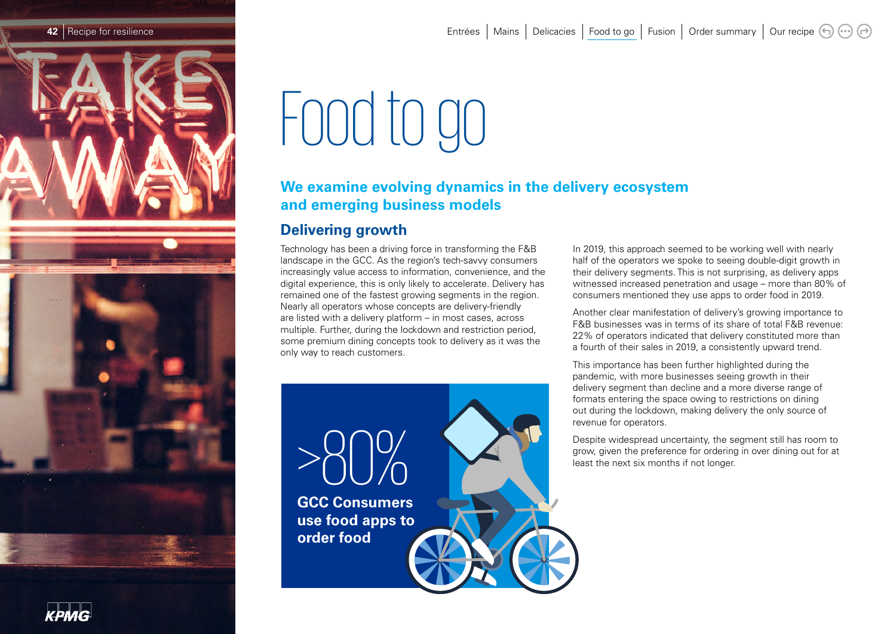

# Food to go

# **We examine evolving dynamics in the delivery ecosystem and emerging business models**

# **Delivering growth**

Technology has been a driving force in transforming the F&B landscape in the GCC. As the region's tech-savvy consumers increasingly value access to information, convenience, and the digital experience, this is only likely to accelerate. Delivery has remained one of the fastest growing segments in the region. Nearly all operators whose concepts are delivery-friendly are listed with a delivery platform – in most cases, across multiple. Further, during the lockdown and restriction period, some premium dining concepts took to delivery as it was the only way to reach customers.

>80% **GCC Consumers use food apps to order food**

In 2019, this approach seemed to be working well with nearly half of the operators we spoke to seeing double-digit growth in their delivery segments. This is not surprising, as delivery apps witnessed increased penetration and usage – more than 80% of consumers mentioned they use apps to order food in 2019.

Another clear manifestation of delivery's growing importance to F&B businesses was in terms of its share of total F&B revenue: 22% of operators indicated that delivery constituted more than a fourth of their sales in 2019, a consistently upward trend.

This importance has been further highlighted during the pandemic, with more businesses seeing growth in their delivery segment than decline and a more diverse range of formats entering the space owing to restrictions on dining out during the lockdown, making delivery the only source of revenue for operators.

Despite widespread uncertainty, the segment still has room to grow, given the preference for ordering in over dining out for at least the next six months if not longer.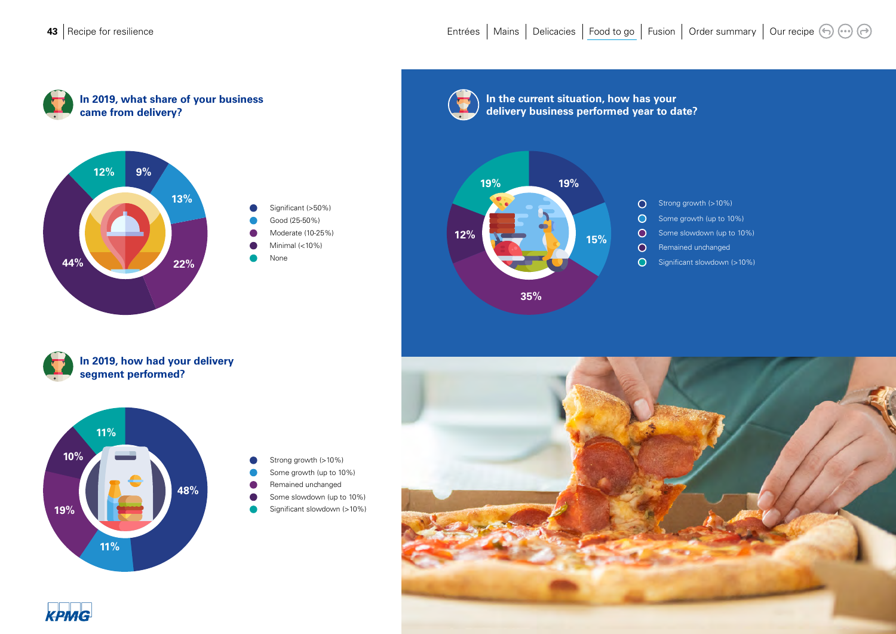





**In the current situation, how has your** 

**35%**

**12%**

**19%**



**In 2019, how had your delivery segment performed?**



Significant slowdown (>10%) Some growth (up to 10%) Some slowdown (up to 10%) Strong growth (>10%) Remained unchanged



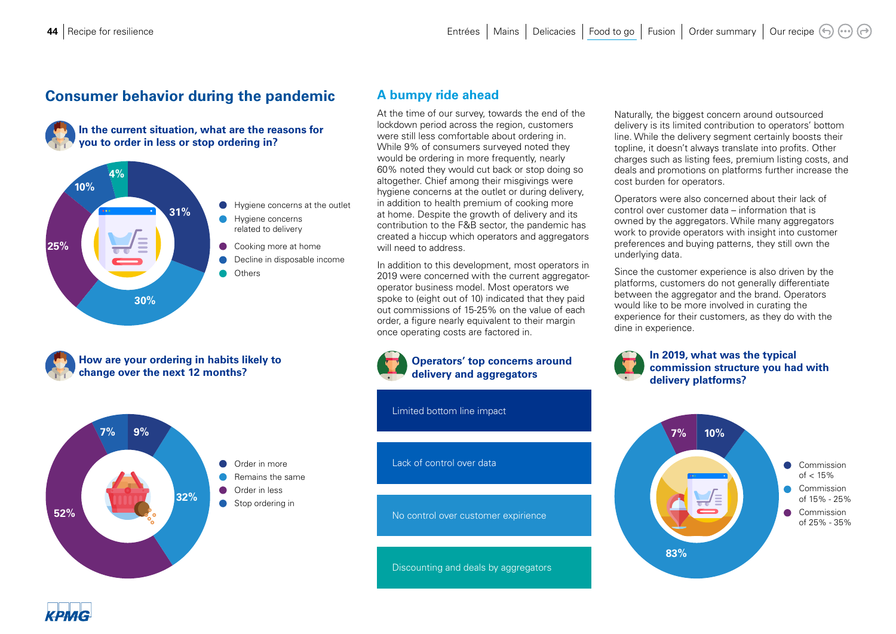## **Consumer behavior during the pandemic A bumpy ride ahead**







**How are your ordering in habits likely to change over the next 12 months?**



At the time of our survey, towards the end of the lockdown period across the region, customers were still less comfortable about ordering in. While 9% of consumers surveyed noted they would be ordering in more frequently, nearly 60% noted they would cut back or stop doing so altogether. Chief among their misgivings were hygiene concerns at the outlet or during delivery, in addition to health premium of cooking more at home. Despite the growth of delivery and its contribution to the F&B sector, the pandemic has created a hiccup which operators and aggregators will need to address.

In addition to this development, most operators in 2019 were concerned with the current aggregatoroperator business model. Most operators we spoke to (eight out of 10) indicated that they paid out commissions of 15-25% on the value of each order, a figure nearly equivalent to their margin once operating costs are factored in.



Limited bottom line impact

#### Lack of control over data

No control over customer expirience

Discounting and deals by aggregators

Naturally, the biggest concern around outsourced delivery is its limited contribution to operators' bottom line. While the delivery segment certainly boosts their topline, it doesn't always translate into profits. Other charges such as listing fees, premium listing costs, and deals and promotions on platforms further increase the cost burden for operators.

Operators were also concerned about their lack of control over customer data – information that is owned by the aggregators. While many aggregators work to provide operators with insight into customer preferences and buying patterns, they still own the underlying data.

Since the customer experience is also driven by the platforms, customers do not generally differentiate between the aggregator and the brand. Operators would like to be more involved in curating the experience for their customers, as they do with the dine in experience.

#### **In 2019, what was the typical commission structure you had with delivery platforms?**



**СРМС**